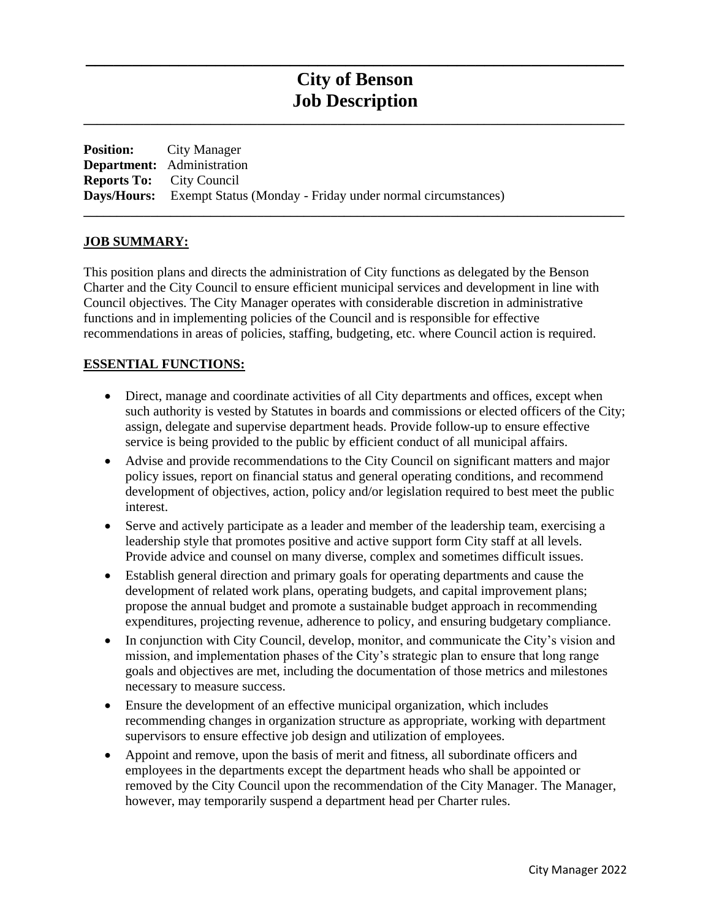# **City of Benson Job Description**

**\_\_\_\_\_\_\_\_\_\_\_\_\_\_\_\_\_\_\_\_\_\_\_\_\_\_\_\_\_\_\_\_\_\_\_\_\_\_\_\_\_\_\_\_\_\_\_\_\_\_\_\_\_\_\_\_\_\_\_\_\_\_\_\_\_\_\_\_\_\_\_\_\_\_\_\_\_\_\_\_\_**

**\_\_\_\_\_\_\_\_\_\_\_\_\_\_\_\_\_\_\_\_\_\_\_\_\_\_\_\_\_\_\_\_\_\_\_\_\_\_\_\_\_\_\_\_\_\_\_\_\_\_\_\_\_\_\_\_\_\_\_\_\_\_\_\_\_\_\_\_\_\_\_\_\_\_\_\_\_\_\_\_\_**

**\_\_\_\_\_\_\_\_\_\_\_\_\_\_\_\_\_\_\_\_\_\_\_\_\_\_\_\_\_\_\_\_\_\_\_\_\_\_\_\_\_\_\_\_\_\_\_\_\_\_\_\_\_\_\_\_\_\_**

| <b>Position:</b> City Manager                                                 |
|-------------------------------------------------------------------------------|
| <b>Department:</b> Administration                                             |
| <b>Reports To:</b> City Council                                               |
| <b>Days/Hours:</b> Exempt Status (Monday - Friday under normal circumstances) |

#### **JOB SUMMARY:**

This position plans and directs the administration of City functions as delegated by the Benson Charter and the City Council to ensure efficient municipal services and development in line with Council objectives. The City Manager operates with considerable discretion in administrative functions and in implementing policies of the Council and is responsible for effective recommendations in areas of policies, staffing, budgeting, etc. where Council action is required.

#### **ESSENTIAL FUNCTIONS:**

- Direct, manage and coordinate activities of all City departments and offices, except when such authority is vested by Statutes in boards and commissions or elected officers of the City; assign, delegate and supervise department heads. Provide follow-up to ensure effective service is being provided to the public by efficient conduct of all municipal affairs.
- Advise and provide recommendations to the City Council on significant matters and major policy issues, report on financial status and general operating conditions, and recommend development of objectives, action, policy and/or legislation required to best meet the public interest.
- Serve and actively participate as a leader and member of the leadership team, exercising a leadership style that promotes positive and active support form City staff at all levels. Provide advice and counsel on many diverse, complex and sometimes difficult issues.
- Establish general direction and primary goals for operating departments and cause the development of related work plans, operating budgets, and capital improvement plans; propose the annual budget and promote a sustainable budget approach in recommending expenditures, projecting revenue, adherence to policy, and ensuring budgetary compliance.
- In conjunction with City Council, develop, monitor, and communicate the City's vision and mission, and implementation phases of the City's strategic plan to ensure that long range goals and objectives are met, including the documentation of those metrics and milestones necessary to measure success.
- Ensure the development of an effective municipal organization, which includes recommending changes in organization structure as appropriate, working with department supervisors to ensure effective job design and utilization of employees.
- Appoint and remove, upon the basis of merit and fitness, all subordinate officers and employees in the departments except the department heads who shall be appointed or removed by the City Council upon the recommendation of the City Manager. The Manager, however, may temporarily suspend a department head per Charter rules.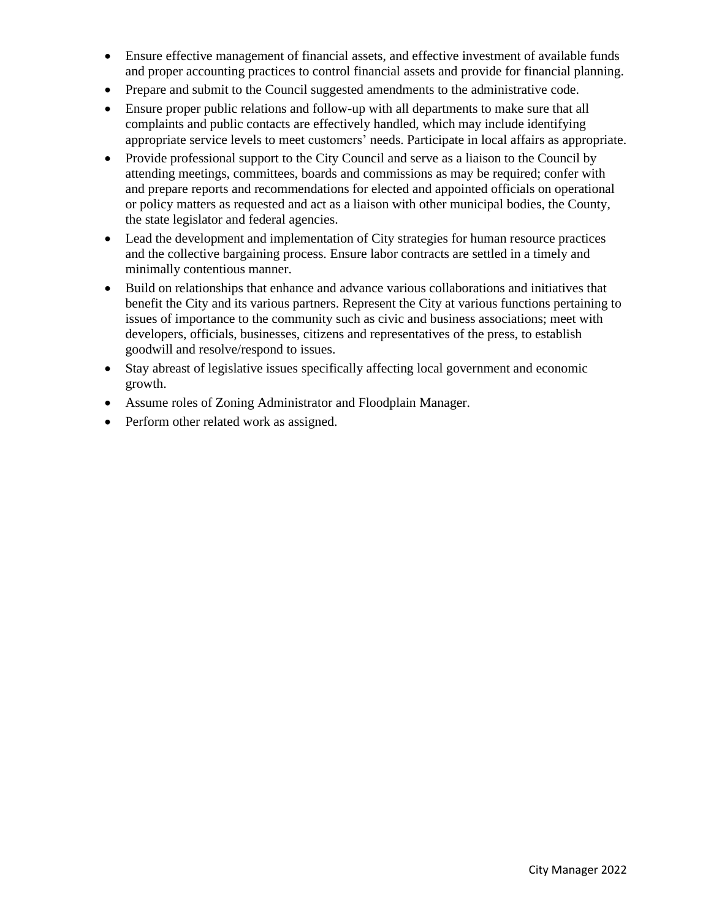- Ensure effective management of financial assets, and effective investment of available funds and proper accounting practices to control financial assets and provide for financial planning.
- Prepare and submit to the Council suggested amendments to the administrative code.
- Ensure proper public relations and follow-up with all departments to make sure that all complaints and public contacts are effectively handled, which may include identifying appropriate service levels to meet customers' needs. Participate in local affairs as appropriate.
- Provide professional support to the City Council and serve as a liaison to the Council by attending meetings, committees, boards and commissions as may be required; confer with and prepare reports and recommendations for elected and appointed officials on operational or policy matters as requested and act as a liaison with other municipal bodies, the County, the state legislator and federal agencies.
- Lead the development and implementation of City strategies for human resource practices and the collective bargaining process. Ensure labor contracts are settled in a timely and minimally contentious manner.
- Build on relationships that enhance and advance various collaborations and initiatives that benefit the City and its various partners. Represent the City at various functions pertaining to issues of importance to the community such as civic and business associations; meet with developers, officials, businesses, citizens and representatives of the press, to establish goodwill and resolve/respond to issues.
- Stay abreast of legislative issues specifically affecting local government and economic growth.
- Assume roles of Zoning Administrator and Floodplain Manager.
- Perform other related work as assigned.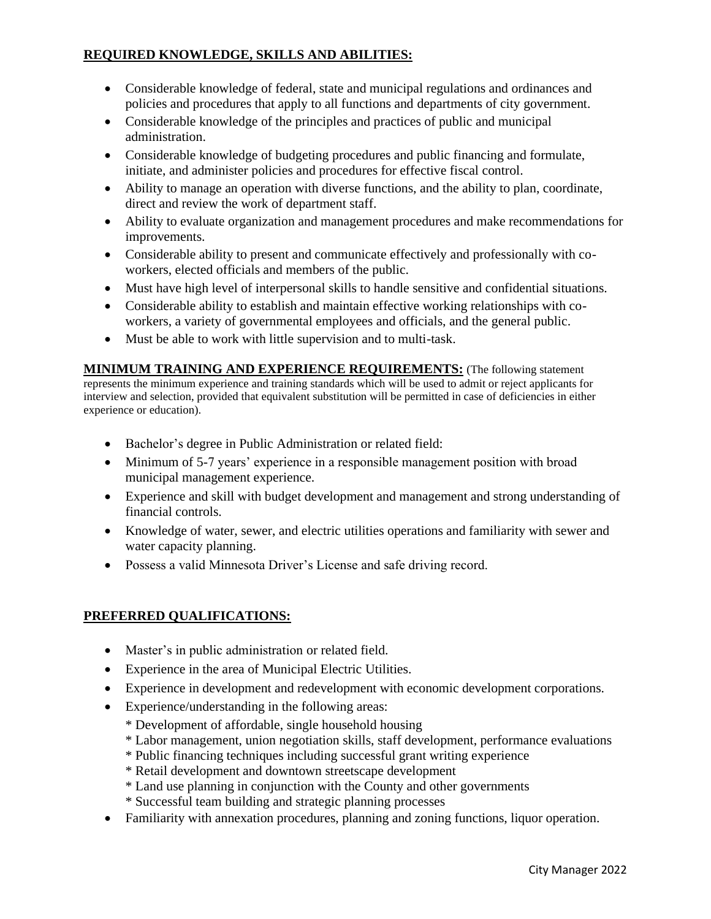## **REQUIRED KNOWLEDGE, SKILLS AND ABILITIES:**

- Considerable knowledge of federal, state and municipal regulations and ordinances and policies and procedures that apply to all functions and departments of city government.
- Considerable knowledge of the principles and practices of public and municipal administration.
- Considerable knowledge of budgeting procedures and public financing and formulate, initiate, and administer policies and procedures for effective fiscal control.
- Ability to manage an operation with diverse functions, and the ability to plan, coordinate, direct and review the work of department staff.
- Ability to evaluate organization and management procedures and make recommendations for improvements.
- Considerable ability to present and communicate effectively and professionally with coworkers, elected officials and members of the public.
- Must have high level of interpersonal skills to handle sensitive and confidential situations.
- Considerable ability to establish and maintain effective working relationships with coworkers, a variety of governmental employees and officials, and the general public.
- Must be able to work with little supervision and to multi-task.

**MINIMUM TRAINING AND EXPERIENCE REQUIREMENTS:** (The following statement represents the minimum experience and training standards which will be used to admit or reject applicants for interview and selection, provided that equivalent substitution will be permitted in case of deficiencies in either experience or education).

- Bachelor's degree in Public Administration or related field:
- Minimum of 5-7 years' experience in a responsible management position with broad municipal management experience.
- Experience and skill with budget development and management and strong understanding of financial controls.
- Knowledge of water, sewer, and electric utilities operations and familiarity with sewer and water capacity planning.
- Possess a valid Minnesota Driver's License and safe driving record.

## **PREFERRED QUALIFICATIONS:**

- Master's in public administration or related field.
- Experience in the area of Municipal Electric Utilities.
- Experience in development and redevelopment with economic development corporations.
- Experience/understanding in the following areas:
	- \* Development of affordable, single household housing
	- \* Labor management, union negotiation skills, staff development, performance evaluations
	- \* Public financing techniques including successful grant writing experience
	- \* Retail development and downtown streetscape development
	- \* Land use planning in conjunction with the County and other governments
	- \* Successful team building and strategic planning processes
- Familiarity with annexation procedures, planning and zoning functions, liquor operation.